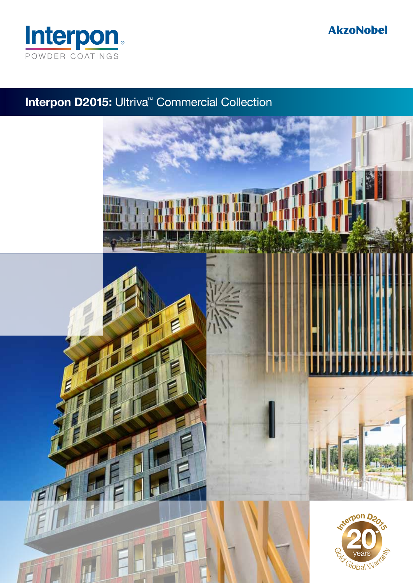

### **AkzoNobel**

### Interpon D2015: Ultriva<sup>™</sup> Commercial Collection

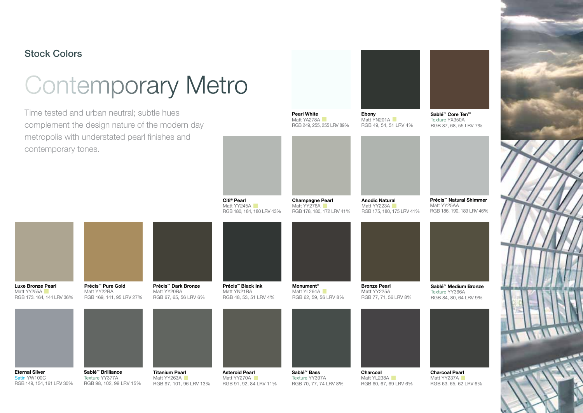#### Stock Colors

## Contemporary Metro

Time tested and urban neutral; subtle hues complement the design nature of the modern day metropolis with understated pearl finishes and contemporary tones.

RGB 98, 102, 99 LRV 15%

RGB 149, 154, 161 LRV 30%

RGB 97, 101, 96 LRV 13%



RGB 70, 77, 74 LRV 8%



RGB 60, 67, 69 LRV 6%



Sablé™ Core Ten™ Texture YX350ARGB 87, 68, 55 LRV 7%





Citi® Pearl Matt YY245A RGB 180, 184, 180 LRV 43% Champagne Pearl Matt YY276A RGB 178, 180, 172 LRV 41% Anodic Natural Matt YY223A RGB 175, 180, 175 LRV 41% Précis™ Dark Bronze Matt YY20BA RGB 67, 65, 56 LRV 6% Précis™ Pure Gold Matt YY22BA RGB 169, 141, 95 LRV 27% Précis™ Black Ink Matt YN21BA RGB 48, 53, 51 LRV 4% Luxe Bronze Pearl Matt YY<sub>255A</sub> RGB 173. 164, 144 LRV 36% Précis™ Natural ShimmerMatt YY25AA RGB 186, 190, 189 LRV 46% Sablé™ Brilliance Texture YY377AMonument® Matt YL264A RGB 62, 59, 56 LRV 8% Bronze Pearl Matt YY225A RGB 77, 71, 56 LRV 8% Titanium Pearl Matt YY263A Sablé™ Bass Texture YY397ACharcoal Matt YL238A Asteroid Pearl Matt YY270A Charcoal Pearl Texture YY366A Eternal Silver Satin YW100C

RGB 91, 92, 84 LRV 11%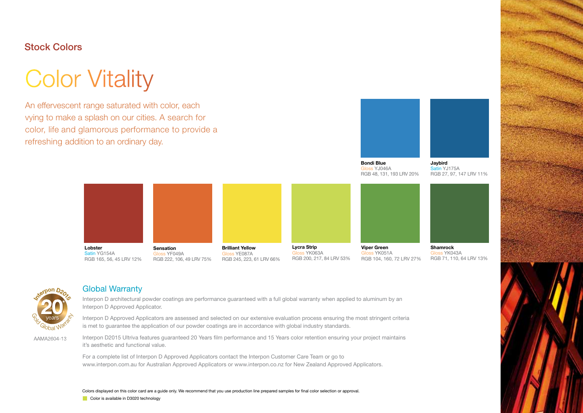#### Stock Colors

## Color Vitality

An effervescent range saturated with color, each vying to make a splash on our cities. A search for color, life and glamorous performance to provide a refreshing addition to an ordinary day.



 Gloss YJ046A RGB 48, 131, 193 LRV 20% Jaybird Satin YJ175A RGB 27, 97, 147 LRV 11%





#### Global Warranty

Interpon D architectural powder coatings are performance guaranteed with a full global warranty when applied to aluminum by an Interpon D Approved Applicator.

Interpon D Approved Applicators are assessed and selected on our extensive evaluation process ensuring the most stringent criteria is met to guarantee the application of our powder coatings are in accordance with global industry standards.

AAMA2604-13

Interpon D2015 Ultriva features guaranteed 20 Years film performance and 15 Years color retention ensuring your project maintains it's aesthetic and functional value.

For a complete list of Interpon D Approved Applicators contact the Interpon Customer Care Team or go to www.interpon.com.au for Australian Approved Applicators or www.interpon.co.nz for New Zealand Approved Applicators.

Color is available in D3020 technology Colors displayed on this color card are a guide only. We recommend that you use production line prepared samples for final color selection or approval.